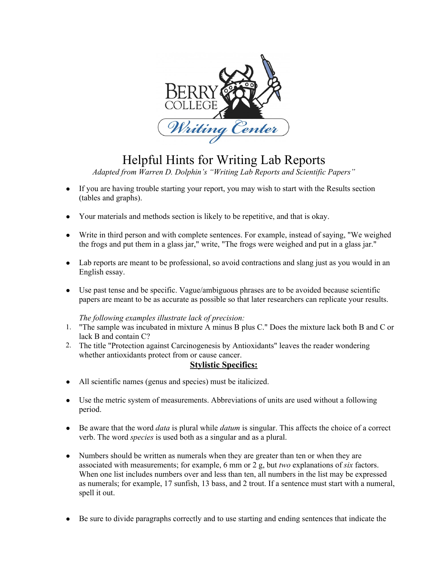

## Helpful Hints for Writing Lab Reports

*Adapted from Warren D. Dolphin's "Writing Lab Reports and Scientific Papers"*

- If you are having trouble starting your report, you may wish to start with the Results section (tables and graphs).
- Your materials and methods section is likely to be repetitive, and that is okay.
- Write in third person and with complete sentences. For example, instead of saying, "We weighed the frogs and put them in a glass jar," write, "The frogs were weighed and put in a glass jar."
- Lab reports are meant to be professional, so avoid contractions and slang just as you would in an English essay.
- Use past tense and be specific. Vague/ambiguous phrases are to be avoided because scientific papers are meant to be as accurate as possible so that later researchers can replicate your results.

## *The following examples illustrate lack of precision:*

- 1. "The sample was incubated in mixture A minus B plus C." Does the mixture lack both B and C or lack B and contain C?
- 2. The title "Protection against Carcinogenesis by Antioxidants" leaves the reader wondering whether antioxidants protect from or cause cancer.

## **Stylistic Specifics:**

- All scientific names (genus and species) must be italicized.
- Use the metric system of measurements. Abbreviations of units are used without a following period.
- Be aware that the word *data* is plural while *datum* is singular. This affects the choice of a correct verb. The word *species* is used both as a singular and as a plural.
- Numbers should be written as numerals when they are greater than ten or when they are associated with measurements; for example, 6 mm or 2 g, but *two* explanations of *six* factors. When one list includes numbers over and less than ten, all numbers in the list may be expressed as numerals; for example, 17 sunfish, 13 bass, and 2 trout. If a sentence must start with a numeral, spell it out.
- Be sure to divide paragraphs correctly and to use starting and ending sentences that indicate the